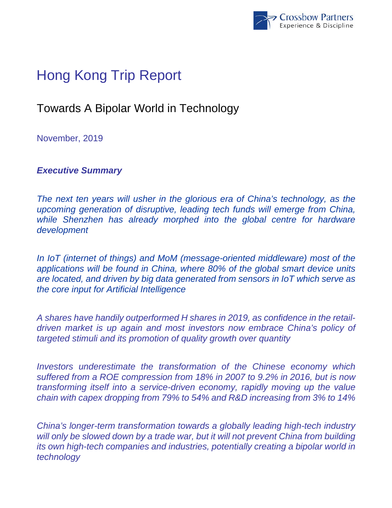

# Hong Kong Trip Report

## Towards A Bipolar World in Technology

November, 2019

*Executive Summary* 

*The next ten years will usher in the glorious era of China's technology, as the upcoming generation of disruptive, leading tech funds will emerge from China,*  while Shenzhen has already morphed into the global centre for hardware *development* 

*In IoT (internet of things) and MoM (message-oriented middleware) most of the applications will be found in China, where 80% of the global smart device units are located, and driven by big data generated from sensors in IoT which serve as the core input for Artificial Intelligence* 

*A shares have handily outperformed H shares in 2019, as confidence in the retaildriven market is up again and most investors now embrace China's policy of targeted stimuli and its promotion of quality growth over quantity* 

*Investors underestimate the transformation of the Chinese economy which suffered from a ROE compression from 18% in 2007 to 9.2% in 2016, but is now transforming itself into a service-driven economy, rapidly moving up the value chain with capex dropping from 79% to 54% and R&D increasing from 3% to 14%* 

*China's longer-term transformation towards a globally leading high-tech industry*  will only be slowed down by a trade war, but it will not prevent China from building *its own high-tech companies and industries, potentially creating a bipolar world in technology*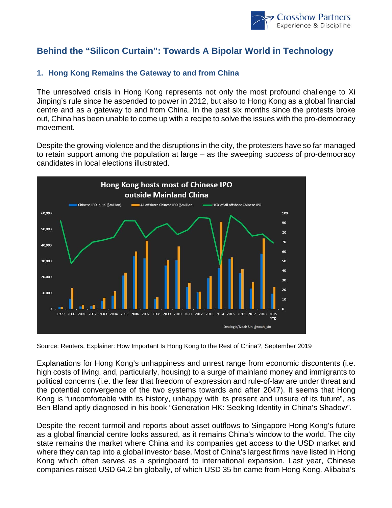

### **Behind the "Silicon Curtain": Towards A Bipolar World in Technology**

#### **1. Hong Kong Remains the Gateway to and from China**

The unresolved crisis in Hong Kong represents not only the most profound challenge to Xi Jinping's rule since he ascended to power in 2012, but also to Hong Kong as a global financial centre and as a gateway to and from China. In the past six months since the protests broke out, China has been unable to come up with a recipe to solve the issues with the pro-democracy movement.

Despite the growing violence and the disruptions in the city, the protesters have so far managed to retain support among the population at large – as the sweeping success of pro-democracy candidates in local elections illustrated.



Source: Reuters, Explainer: How Important Is Hong Kong to the Rest of China?, September 2019

Explanations for Hong Kong's unhappiness and unrest range from economic discontents (i.e. high costs of living, and, particularly, housing) to a surge of mainland money and immigrants to political concerns (i.e. the fear that freedom of expression and rule-of-law are under threat and the potential convergence of the two systems towards and after 2047). It seems that Hong Kong is "uncomfortable with its history, unhappy with its present and unsure of its future", as Ben Bland aptly diagnosed in his book "Generation HK: Seeking Identity in China's Shadow".

Despite the recent turmoil and reports about asset outflows to Singapore Hong Kong's future as a global financial centre looks assured, as it remains China's window to the world. The city state remains the market where China and its companies get access to the USD market and where they can tap into a global investor base. Most of China's largest firms have listed in Hong Kong which often serves as a springboard to international expansion. Last year, Chinese companies raised USD 64.2 bn globally, of which USD 35 bn came from Hong Kong. Alibaba's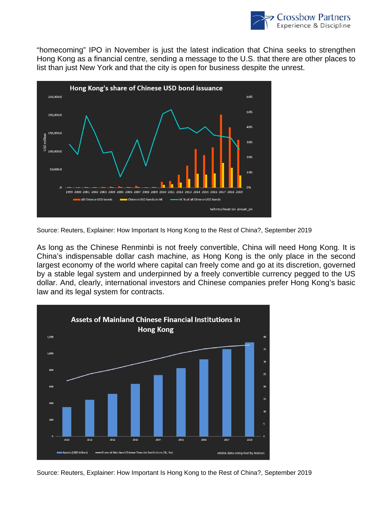

"homecoming" IPO in November is just the latest indication that China seeks to strengthen Hong Kong as a financial centre, sending a message to the U.S. that there are other places to list than just New York and that the city is open for business despite the unrest.



Source: Reuters, Explainer: How Important Is Hong Kong to the Rest of China?, September 2019

As long as the Chinese Renminbi is not freely convertible, China will need Hong Kong. It is China's indispensable dollar cash machine, as Hong Kong is the only place in the second largest economy of the world where capital can freely come and go at its discretion, governed by a stable legal system and underpinned by a freely convertible currency pegged to the US dollar. And, clearly, international investors and Chinese companies prefer Hong Kong's basic law and its legal system for contracts.



Source: Reuters, Explainer: How Important Is Hong Kong to the Rest of China?, September 2019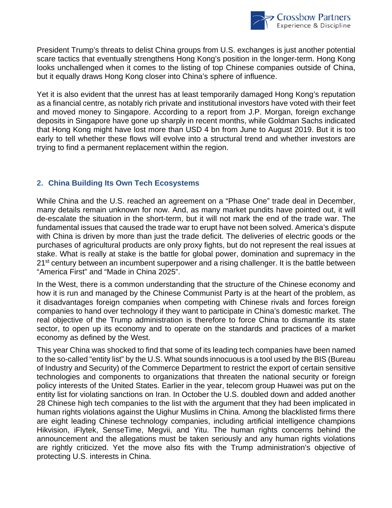

President Trump's threats to delist China groups from U.S. exchanges is just another potential scare tactics that eventually strengthens Hong Kong's position in the longer-term. Hong Kong looks unchallenged when it comes to the listing of top Chinese companies outside of China, but it equally draws Hong Kong closer into China's sphere of influence.

Yet it is also evident that the unrest has at least temporarily damaged Hong Kong's reputation as a financial centre, as notably rich private and institutional investors have voted with their feet and moved money to Singapore. According to a report from J.P. Morgan, foreign exchange deposits in Singapore have gone up sharply in recent months, while Goldman Sachs indicated that Hong Kong might have lost more than USD 4 bn from June to August 2019. But it is too early to tell whether these flows will evolve into a structural trend and whether investors are trying to find a permanent replacement within the region.

#### **2. China Building Its Own Tech Ecosystems**

While China and the U.S. reached an agreement on a "Phase One" trade deal in December, many details remain unknown for now. And, as many market pundits have pointed out, it will de-escalate the situation in the short-term, but it will not mark the end of the trade war. The fundamental issues that caused the trade war to erupt have not been solved. America's dispute with China is driven by more than just the trade deficit. The deliveries of electric goods or the purchases of agricultural products are only proxy fights, but do not represent the real issues at stake. What is really at stake is the battle for global power, domination and supremacy in the 21<sup>st</sup> century between an incumbent superpower and a rising challenger. It is the battle between "America First" and "Made in China 2025".

In the West, there is a common understanding that the structure of the Chinese economy and how it is run and managed by the Chinese Communist Party is at the heart of the problem, as it disadvantages foreign companies when competing with Chinese rivals and forces foreign companies to hand over technology if they want to participate in China's domestic market. The real objective of the Trump administration is therefore to force China to dismantle its state sector, to open up its economy and to operate on the standards and practices of a market economy as defined by the West.

This year China was shocked to find that some of its leading tech companies have been named to the so-called "entity list" by the U.S. What sounds innocuous is a tool used by the BIS (Bureau of Industry and Security) of the Commerce Department to restrict the export of certain sensitive technologies and components to organizations that threaten the national security or foreign policy interests of the United States. Earlier in the year, telecom group Huawei was put on the entity list for violating sanctions on Iran. In October the U.S. doubled down and added another 28 Chinese high tech companies to the list with the argument that they had been implicated in human rights violations against the Uighur Muslims in China. Among the blacklisted firms there are eight leading Chinese technology companies, including artificial intelligence champions Hikvision, iFlytek, SenseTime, Megvii, and Yitu. The human rights concerns behind the announcement and the allegations must be taken seriously and any human rights violations are rightly criticized. Yet the move also fits with the Trump administration's objective of protecting U.S. interests in China.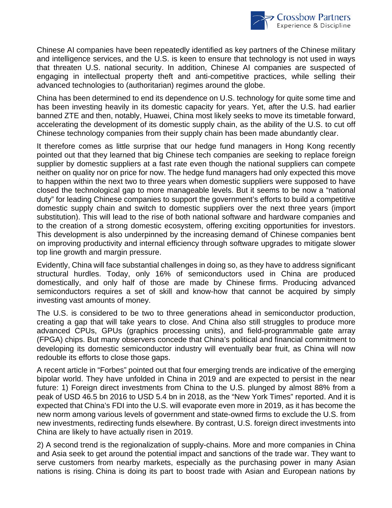

Chinese AI companies have been repeatedly identified as key partners of the Chinese military and intelligence services, and the U.S. is keen to ensure that technology is not used in ways that threaten U.S. national security. In addition, Chinese AI companies are suspected of engaging in intellectual property theft and anti-competitive practices, while selling their advanced technologies to (authoritarian) regimes around the globe.

China has been determined to end its dependence on U.S. technology for quite some time and has been investing heavily in its domestic capacity for years. Yet, after the U.S. had earlier banned ZTE and then, notably, Huawei, China most likely seeks to move its timetable forward, accelerating the development of its domestic supply chain, as the ability of the U.S. to cut off Chinese technology companies from their supply chain has been made abundantly clear.

It therefore comes as little surprise that our hedge fund managers in Hong Kong recently pointed out that they learned that big Chinese tech companies are seeking to replace foreign supplier by domestic suppliers at a fast rate even though the national suppliers can compete neither on quality nor on price for now. The hedge fund managers had only expected this move to happen within the next two to three years when domestic suppliers were supposed to have closed the technological gap to more manageable levels. But it seems to be now a "national duty" for leading Chinese companies to support the government's efforts to build a competitive domestic supply chain and switch to domestic suppliers over the next three years (import substitution). This will lead to the rise of both national software and hardware companies and to the creation of a strong domestic ecosystem, offering exciting opportunities for investors. This development is also underpinned by the increasing demand of Chinese companies bent on improving productivity and internal efficiency through software upgrades to mitigate slower top line growth and margin pressure.

Evidently, China will face substantial challenges in doing so, as they have to address significant structural hurdles. Today, only 16% of semiconductors used in China are produced domestically, and only half of those are made by Chinese firms. Producing advanced semiconductors requires a set of skill and know-how that cannot be acquired by simply investing vast amounts of money.

The U.S. is considered to be two to three generations ahead in semiconductor production, creating a gap that will take years to close. And China also still struggles to produce more advanced CPUs, GPUs (graphics processing units), and field-programmable gate array (FPGA) chips. But many observers concede that China's political and financial commitment to developing its domestic semiconductor industry will eventually bear fruit, as China will now redouble its efforts to close those gaps.

A recent article in "Forbes" pointed out that four emerging trends are indicative of the emerging bipolar world. They have unfolded in China in 2019 and are expected to persist in the near future: 1) Foreign direct investments from China to the U.S. plunged by almost 88% from a peak of USD 46.5 bn 2016 to USD 5.4 bn in 2018, as the "New York Times" reported. And it is expected that China's FDI into the U.S. will evaporate even more in 2019, as it has become the new norm among various levels of government and state-owned firms to exclude the U.S. from new investments, redirecting funds elsewhere. By contrast, U.S. foreign direct investments into China are likely to have actually risen in 2019.

2) A second trend is the regionalization of supply-chains. More and more companies in China and Asia seek to get around the potential impact and sanctions of the trade war. They want to serve customers from nearby markets, especially as the purchasing power in many Asian nations is rising. China is doing its part to boost trade with Asian and European nations by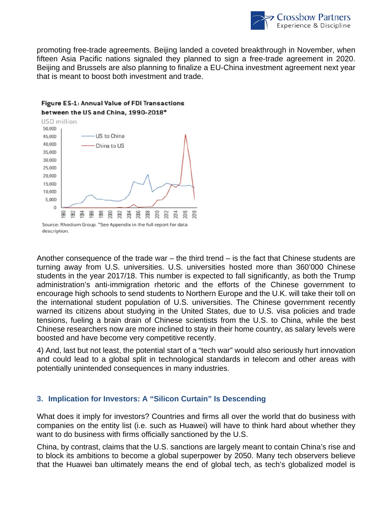

promoting free-trade agreements. Beijing landed a coveted breakthrough in November, when fifteen Asia Pacific nations signaled they planned to sign a free-trade agreement in 2020. Beijing and Brussels are also planning to finalize a EU-China investment agreement next year that is meant to boost both investment and trade.

#### Figure ES-1: Annual Value of FDI Transactions between the US and China, 1990-2018\*



Another consequence of the trade war – the third trend – is the fact that Chinese students are turning away from U.S. universities. U.S. universities hosted more than 360'000 Chinese students in the year 2017/18. This number is expected to fall significantly, as both the Trump administration's anti-immigration rhetoric and the efforts of the Chinese government to encourage high schools to send students to Northern Europe and the U.K. will take their toll on the international student population of U.S. universities. The Chinese government recently warned its citizens about studying in the United States, due to U.S. visa policies and trade tensions, fueling a brain drain of Chinese scientists from the U.S. to China, while the best Chinese researchers now are more inclined to stay in their home country, as salary levels were boosted and have become very competitive recently.

4) And, last but not least, the potential start of a "tech war" would also seriously hurt innovation and could lead to a global split in technological standards in telecom and other areas with potentially unintended consequences in many industries.

#### **3. Implication for Investors: A "Silicon Curtain" Is Descending**

What does it imply for investors? Countries and firms all over the world that do business with companies on the entity list (i.e. such as Huawei) will have to think hard about whether they want to do business with firms officially sanctioned by the U.S.

China, by contrast, claims that the U.S. sanctions are largely meant to contain China's rise and to block its ambitions to become a global superpower by 2050. Many tech observers believe that the Huawei ban ultimately means the end of global tech, as tech's globalized model is